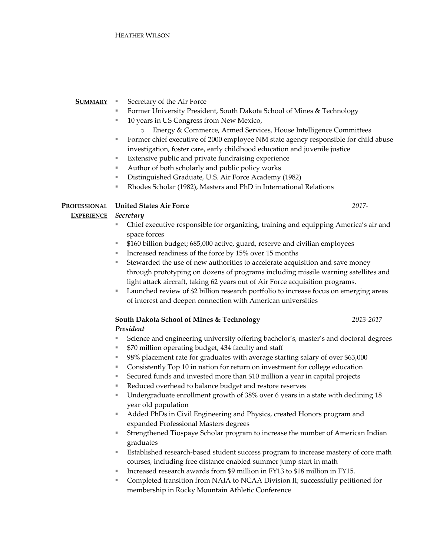## **SUMMARY** ▪ Secretary of the Air Force

- Former University President, South Dakota School of Mines & Technology
- 10 years in US Congress from New Mexico,
	- o Energy & Commerce, Armed Services, House Intelligence Committees
- Former chief executive of 2000 employee NM state agency responsible for child abuse investigation, foster care, early childhood education and juvenile justice
- Extensive public and private fundraising experience
- Author of both scholarly and public policy works
- Distinguished Graduate, U.S. Air Force Academy (1982)
- Rhodes Scholar (1982), Masters and PhD in International Relations

## **PROFESSIONAL United States Air Force**

### **EXPERIENCE** *Secretary*

- Chief executive responsible for organizing, training and equipping America's air and space forces
- \$160 billion budget; 685,000 active, guard, reserve and civilian employees
- Increased readiness of the force by 15% over 15 months
- Stewarded the use of new authorities to accelerate acquisition and save money through prototyping on dozens of programs including missile warning satellites and light attack aircraft, taking 62 years out of Air Force acquisition programs.
- Launched review of \$2 billion research portfolio to increase focus on emerging areas of interest and deepen connection with American universities

## **South Dakota School of Mines & Technology**

## *President*

- Science and engineering university offering bachelor's, master's and doctoral degrees
- \$70 million operating budget, 434 faculty and staff
- 98% placement rate for graduates with average starting salary of over \$63,000
- Consistently Top 10 in nation for return on investment for college education
- Secured funds and invested more than \$10 million a year in capital projects
- Reduced overhead to balance budget and restore reserves
- Undergraduate enrollment growth of 38% over 6 years in a state with declining 18 year old population
- Added PhDs in Civil Engineering and Physics, created Honors program and expanded Professional Masters degrees
- Strengthened Tiospaye Scholar program to increase the number of American Indian graduates
- Established research-based student success program to increase mastery of core math courses, including free distance enabled summer jump start in math
- Increased research awards from \$9 million in FY13 to \$18 million in FY15.
- Completed transition from NAIA to NCAA Division II; successfully petitioned for membership in Rocky Mountain Athletic Conference

*2017-*

*2013-2017*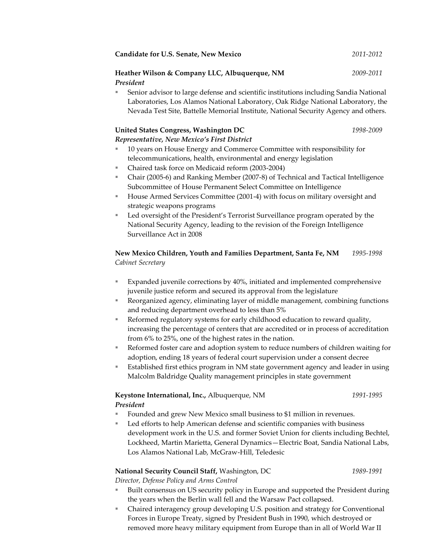|                                              | Candidate for U.S. Senate, New Mexico                                                 | 2011-2012 |
|----------------------------------------------|---------------------------------------------------------------------------------------|-----------|
|                                              | Heather Wilson & Company LLC, Albuquerque, NM                                         | 2009-2011 |
|                                              | President                                                                             |           |
| u.                                           | Senior advisor to large defense and scientific institutions including Sandia National |           |
|                                              | Laboratories, Los Alamos National Laboratory, Oak Ridge National Laboratory, the      |           |
|                                              | Nevada Test Site, Battelle Memorial Institute, National Security Agency and others.   |           |
| <b>United States Congress, Washington DC</b> |                                                                                       | 1998-2009 |
|                                              | Representative, New Mexico's First District                                           |           |
|                                              |                                                                                       |           |

- 10 years on House Energy and Commerce Committee with responsibility for telecommunications, health, environmental and energy legislation
- Chaired task force on Medicaid reform (2003-2004)
- Chair (2005-6) and Ranking Member (2007-8) of Technical and Tactical Intelligence Subcommittee of House Permanent Select Committee on Intelligence
- House Armed Services Committee (2001-4) with focus on military oversight and strategic weapons programs
- Led oversight of the President's Terrorist Surveillance program operated by the National Security Agency, leading to the revision of the Foreign Intelligence Surveillance Act in 2008

#### **New Mexico Children, Youth and Families Department, Santa Fe, NM** *Cabinet Secretary 1995-1998*

- Expanded juvenile corrections by 40%, initiated and implemented comprehensive juvenile justice reform and secured its approval from the legislature
- Reorganized agency, eliminating layer of middle management, combining functions and reducing department overhead to less than 5%
- Reformed regulatory systems for early childhood education to reward quality, increasing the percentage of centers that are accredited or in process of accreditation from 6% to 25%, one of the highest rates in the nation.
- Reformed foster care and adoption system to reduce numbers of children waiting for adoption, ending 18 years of federal court supervision under a consent decree
- Established first ethics program in NM state government agency and leader in using Malcolm Baldridge Quality management principles in state government

#### **Keystone International, Inc.,** Albuquerque, NM *President 1991-1995*

- Founded and grew New Mexico small business to \$1 million in revenues.
- Led efforts to help American defense and scientific companies with business development work in the U.S. and former Soviet Union for clients including Bechtel, Lockheed, Martin Marietta, General Dynamics—Electric Boat, Sandia National Labs, Los Alamos National Lab, McGraw-Hill, Teledesic

## **National Security Council Staff,** Washington, DC

*1989-1991*

*Director, Defense Policy and Arms Control*

- Built consensus on US security policy in Europe and supported the President during the years when the Berlin wall fell and the Warsaw Pact collapsed.
- Chaired interagency group developing U.S. position and strategy for Conventional Forces in Europe Treaty, signed by President Bush in 1990, which destroyed or removed more heavy military equipment from Europe than in all of World War II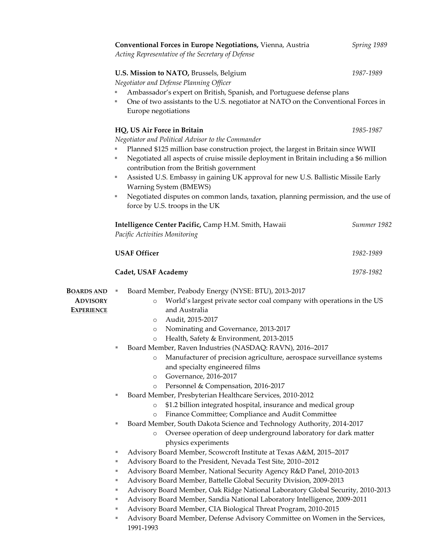|                                                           | Conventional Forces in Europe Negotiations, Vienna, Austria<br>Acting Representative of the Secretary of Defense                                                                                                                                                                                                                                                                                                                                                                                                                                                                                                                                                                                                                                                                                                                                                                                                                                                                                                                                                                                                                                                                                                                                                                                                                                                                                                                                                                                                                                                                                                                                   | Spring 1989 |
|-----------------------------------------------------------|----------------------------------------------------------------------------------------------------------------------------------------------------------------------------------------------------------------------------------------------------------------------------------------------------------------------------------------------------------------------------------------------------------------------------------------------------------------------------------------------------------------------------------------------------------------------------------------------------------------------------------------------------------------------------------------------------------------------------------------------------------------------------------------------------------------------------------------------------------------------------------------------------------------------------------------------------------------------------------------------------------------------------------------------------------------------------------------------------------------------------------------------------------------------------------------------------------------------------------------------------------------------------------------------------------------------------------------------------------------------------------------------------------------------------------------------------------------------------------------------------------------------------------------------------------------------------------------------------------------------------------------------------|-------------|
|                                                           | U.S. Mission to NATO, Brussels, Belgium<br>Negotiator and Defense Planning Officer                                                                                                                                                                                                                                                                                                                                                                                                                                                                                                                                                                                                                                                                                                                                                                                                                                                                                                                                                                                                                                                                                                                                                                                                                                                                                                                                                                                                                                                                                                                                                                 | 1987-1989   |
|                                                           | Ambassador's expert on British, Spanish, and Portuguese defense plans<br>One of two assistants to the U.S. negotiator at NATO on the Conventional Forces in<br>ш<br>Europe negotiations                                                                                                                                                                                                                                                                                                                                                                                                                                                                                                                                                                                                                                                                                                                                                                                                                                                                                                                                                                                                                                                                                                                                                                                                                                                                                                                                                                                                                                                            |             |
|                                                           | HQ, US Air Force in Britain<br>Negotiator and Political Advisor to the Commander<br>Planned \$125 million base construction project, the largest in Britain since WWII<br>ш<br>Negotiated all aspects of cruise missile deployment in Britain including a \$6 million<br>ш<br>contribution from the British government<br>Assisted U.S. Embassy in gaining UK approval for new U.S. Ballistic Missile Early<br>ш<br><b>Warning System (BMEWS)</b><br>Negotiated disputes on common lands, taxation, planning permission, and the use of<br>ш<br>force by U.S. troops in the UK                                                                                                                                                                                                                                                                                                                                                                                                                                                                                                                                                                                                                                                                                                                                                                                                                                                                                                                                                                                                                                                                     | 1985-1987   |
|                                                           | Intelligence Center Pacific, Camp H.M. Smith, Hawaii<br>Pacific Activities Monitoring                                                                                                                                                                                                                                                                                                                                                                                                                                                                                                                                                                                                                                                                                                                                                                                                                                                                                                                                                                                                                                                                                                                                                                                                                                                                                                                                                                                                                                                                                                                                                              | Summer 1982 |
|                                                           | <b>USAF Officer</b>                                                                                                                                                                                                                                                                                                                                                                                                                                                                                                                                                                                                                                                                                                                                                                                                                                                                                                                                                                                                                                                                                                                                                                                                                                                                                                                                                                                                                                                                                                                                                                                                                                | 1982-1989   |
|                                                           | <b>Cadet, USAF Academy</b>                                                                                                                                                                                                                                                                                                                                                                                                                                                                                                                                                                                                                                                                                                                                                                                                                                                                                                                                                                                                                                                                                                                                                                                                                                                                                                                                                                                                                                                                                                                                                                                                                         | 1978-1982   |
| <b>BOARDS AND</b><br><b>ADVISORY</b><br><b>EXPERIENCE</b> | Board Member, Peabody Energy (NYSE: BTU), 2013-2017<br>ш<br>World's largest private sector coal company with operations in the US<br>$\circ$<br>and Australia<br>Audit, 2015-2017<br>$\circ$<br>Nominating and Governance, 2013-2017<br>$\circ$<br>Health, Safety & Environment, 2013-2015<br>$\circ$<br>Board Member, Raven Industries (NASDAQ: RAVN), 2016-2017<br>ш<br>Manufacturer of precision agriculture, aerospace surveillance systems<br>$\circ$<br>and specialty engineered films<br>Governance, 2016-2017<br>$\circ$<br>Personnel & Compensation, 2016-2017<br>$\circ$<br>Board Member, Presbyterian Healthcare Services, 2010-2012<br>ш<br>\$1.2 billion integrated hospital, insurance and medical group<br>$\circ$<br>Finance Committee; Compliance and Audit Committee<br>$\circ$<br>Board Member, South Dakota Science and Technology Authority, 2014-2017<br>ш<br>Oversee operation of deep underground laboratory for dark matter<br>$\circ$<br>physics experiments<br>Advisory Board Member, Scowcroft Institute at Texas A&M, 2015-2017<br>ш<br>Advisory Board to the President, Nevada Test Site, 2010-2012<br>ш<br>Advisory Board Member, National Security Agency R&D Panel, 2010-2013<br>ш<br>Advisory Board Member, Battelle Global Security Division, 2009-2013<br>ш<br>Advisory Board Member, Oak Ridge National Laboratory Global Security, 2010-2013<br>ш<br>Advisory Board Member, Sandia National Laboratory Intelligence, 2009-2011<br>ш<br>Advisory Board Member, CIA Biological Threat Program, 2010-2015<br>ш<br>Advisory Board Member, Defense Advisory Committee on Women in the Services,<br>ш<br>1991-1993 |             |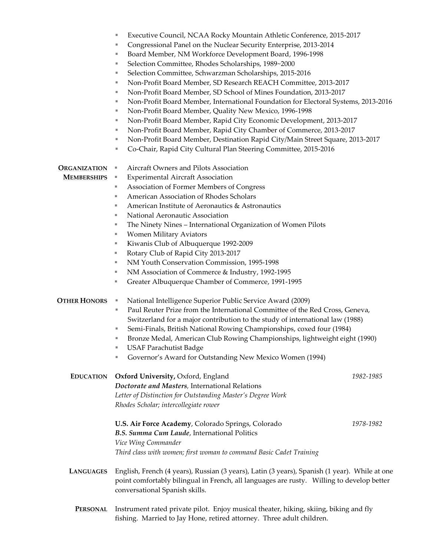|                     | Executive Council, NCAA Rocky Mountain Athletic Conference, 2015-2017<br>ш                                                                                     |           |  |
|---------------------|----------------------------------------------------------------------------------------------------------------------------------------------------------------|-----------|--|
|                     | Congressional Panel on the Nuclear Security Enterprise, 2013-2014<br>ш                                                                                         |           |  |
|                     | Board Member, NM Workforce Development Board, 1996-1998<br>ш                                                                                                   |           |  |
|                     | Selection Committee, Rhodes Scholarships, 1989~2000<br>ш                                                                                                       |           |  |
|                     | Selection Committee, Schwarzman Scholarships, 2015-2016<br>ш                                                                                                   |           |  |
|                     | Non-Profit Board Member, SD Research REACH Committee, 2013-2017<br>ш                                                                                           |           |  |
|                     | Non-Profit Board Member, SD School of Mines Foundation, 2013-2017<br>ш                                                                                         |           |  |
|                     | Non-Profit Board Member, International Foundation for Electoral Systems, 2013-2016<br>ш                                                                        |           |  |
|                     | Non-Profit Board Member, Quality New Mexico, 1996-1998<br>ш                                                                                                    |           |  |
|                     | Non-Profit Board Member, Rapid City Economic Development, 2013-2017<br>ш                                                                                       |           |  |
|                     | Non-Profit Board Member, Rapid City Chamber of Commerce, 2013-2017<br>ш                                                                                        |           |  |
|                     | Non-Profit Board Member, Destination Rapid City/Main Street Square, 2013-2017<br>ш                                                                             |           |  |
|                     | Co-Chair, Rapid City Cultural Plan Steering Committee, 2015-2016<br>ш                                                                                          |           |  |
| <b>ORGANIZATION</b> | Aircraft Owners and Pilots Association<br>ш                                                                                                                    |           |  |
| <b>MEMBERSHIPS</b>  | <b>Experimental Aircraft Association</b><br>ш                                                                                                                  |           |  |
|                     | Association of Former Members of Congress<br>ш                                                                                                                 |           |  |
|                     | American Association of Rhodes Scholars<br>ш                                                                                                                   |           |  |
|                     | American Institute of Aeronautics & Astronautics<br>ш                                                                                                          |           |  |
|                     | National Aeronautic Association<br>ш                                                                                                                           |           |  |
|                     | The Ninety Nines - International Organization of Women Pilots<br>ш                                                                                             |           |  |
|                     | Women Military Aviators<br>ш                                                                                                                                   |           |  |
|                     | Kiwanis Club of Albuquerque 1992-2009<br>ш                                                                                                                     |           |  |
|                     | Rotary Club of Rapid City 2013-2017<br>ш                                                                                                                       |           |  |
|                     | NM Youth Conservation Commission, 1995-1998<br>ш                                                                                                               |           |  |
|                     | NM Association of Commerce & Industry, 1992-1995<br>ш                                                                                                          |           |  |
|                     | Greater Albuquerque Chamber of Commerce, 1991-1995<br>ш                                                                                                        |           |  |
| <b>OTHER HONORS</b> | National Intelligence Superior Public Service Award (2009)<br>ш                                                                                                |           |  |
|                     | Paul Reuter Prize from the International Committee of the Red Cross, Geneva,<br>ш                                                                              |           |  |
|                     | Switzerland for a major contribution to the study of international law (1988)                                                                                  |           |  |
|                     | Semi-Finals, British National Rowing Championships, coxed four (1984)<br>ц                                                                                     |           |  |
|                     | Bronze Medal, American Club Rowing Championships, lightweight eight (1990)<br>ш                                                                                |           |  |
|                     | <b>USAF Parachutist Badge</b>                                                                                                                                  |           |  |
|                     | Governor's Award for Outstanding New Mexico Women (1994)<br>ш                                                                                                  |           |  |
| <b>EDUCATION</b>    | Oxford University, Oxford, England                                                                                                                             | 1982-1985 |  |
|                     | Doctorate and Masters, International Relations                                                                                                                 |           |  |
|                     | Letter of Distinction for Outstanding Master's Degree Work                                                                                                     |           |  |
|                     | Rhodes Scholar; intercollegiate rower                                                                                                                          |           |  |
|                     | U.S. Air Force Academy, Colorado Springs, Colorado                                                                                                             | 1978-1982 |  |
|                     | B.S. Summa Cum Laude, International Politics                                                                                                                   |           |  |
|                     | Vice Wing Commander                                                                                                                                            |           |  |
|                     | Third class with women; first woman to command Basic Cadet Training                                                                                            |           |  |
| <b>LANGUAGES</b>    | English, French (4 years), Russian (3 years), Latin (3 years), Spanish (1 year). While at one                                                                  |           |  |
|                     | point comfortably bilingual in French, all languages are rusty. Willing to develop better                                                                      |           |  |
|                     | conversational Spanish skills.                                                                                                                                 |           |  |
|                     |                                                                                                                                                                |           |  |
| <b>PERSONAL</b>     | Instrument rated private pilot. Enjoy musical theater, hiking, skiing, biking and fly<br>fishing. Married to Jay Hone, retired attorney. Three adult children. |           |  |
|                     |                                                                                                                                                                |           |  |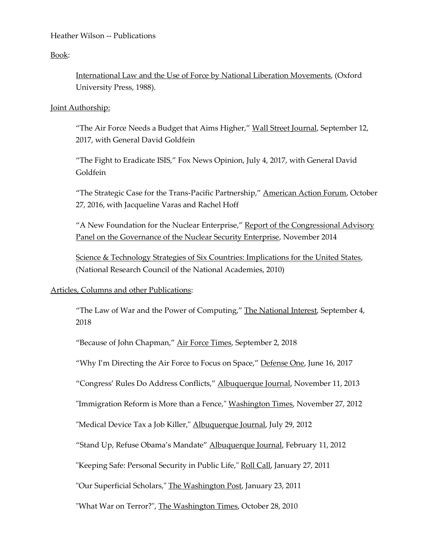Heather Wilson -- Publications

Book:

International Law and the Use of Force by National Liberation Movements, (Oxford University Press, 1988).

## Joint Authorship:

"The Air Force Needs a Budget that Aims Higher," Wall Street Journal, September 12, 2017, with General David Goldfein

"The Fight to Eradicate ISIS," Fox News Opinion, July 4, 2017, with General David Goldfein

"The Strategic Case for the Trans-Pacific Partnership," American Action Forum, October 27, 2016, with Jacqueline Varas and Rachel Hoff

"A New Foundation for the Nuclear Enterprise," Report of the Congressional Advisory Panel on the Governance of the Nuclear Security Enterprise, November 2014

Science & Technology Strategies of Six Countries: Implications for the United States, (National Research Council of the National Academies, 2010)

# Articles, Columns and other Publications:

"The Law of War and the Power of Computing," The National Interest, September 4, 2018

"Because of John Chapman," Air Force Times, September 2, 2018

"Why I'm Directing the Air Force to Focus on Space," Defense One, June 16, 2017

"Congress' Rules Do Address Conflicts," Albuquerque Journal, November 11, 2013

"Immigration Reform is More than a Fence," Washington Times, November 27, 2012

"Medical Device Tax a Job Killer," Albuquerque Journal, July 29, 2012

"Stand Up, Refuse Obama's Mandate" Albuquerque Journal, February 11, 2012

"Keeping Safe: Personal Security in Public Life," Roll Call, January 27, 2011

"Our Superficial Scholars," The Washington Post, January 23, 2011

"What War on Terror?", The Washington Times, October 28, 2010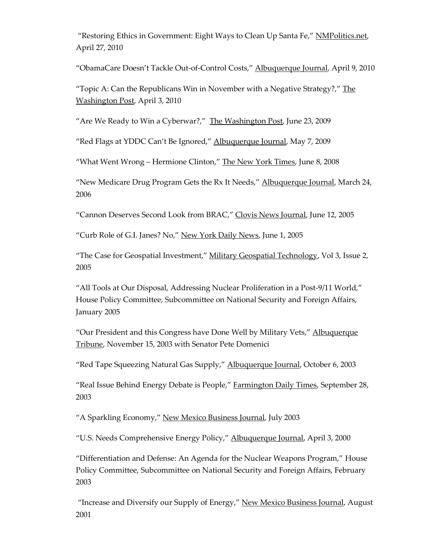"Restoring Ethics in Government: Eight Ways to Clean Up Santa Fe," NMPolitics.net, April 27, 2010

"ObamaCare Doesn't Tackle Out-of-Control Costs," Albuquerque Journal, April 9, 2010

"Topic A: Can the Republicans Win in November with a Negative Strategy?," The Washington Post, April 3, 2010

"Are We Ready to Win a Cyberwar?," The Washington Post, June 23, 2009

"Red Flags at YDDC Can't Be Ignored," Albuquerque Journal, May 7, 2009

"What Went Wrong – Hermione Clinton," The New York Times, June 8, 2008

"New Medicare Drug Program Gets the Rx It Needs," Albuquerque Journal, March 24, 2006

"Cannon Deserves Second Look from BRAC," Clovis News Journal, June 12, 2005

"Curb Role of G.I. Janes? No," New York Daily News, June 1, 2005

"The Case for Geospatial Investment," Military Geospatial Technology, Vol 3, Issue 2, 2005

"All Tools at Our Disposal, Addressing Nuclear Proliferation in a Post-9/11 World," House Policy Committee, Subcommittee on National Security and Foreign Affairs, January 2005

"Our President and this Congress have Done Well by Military Vets," Albuquerque Tribune, November 15, 2003 with Senator Pete Domenici

"Red Tape Squeezing Natural Gas Supply," Albuquerque Journal, October 6, 2003

"Real Issue Behind Energy Debate is People," Farmington Daily Times, September 28, 2003

"A Sparkling Economy," New Mexico Business Journal, July 2003

"U.S. Needs Comprehensive Energy Policy," Albuquerque Journal, April 3, 2000

"Differentiation and Defense: An Agenda for the Nuclear Weapons Program," House Policy Committee, Subcommittee on National Security and Foreign Affairs, February 2003

"Increase and Diversify our Supply of Energy," New Mexico Business Journal, August 2001